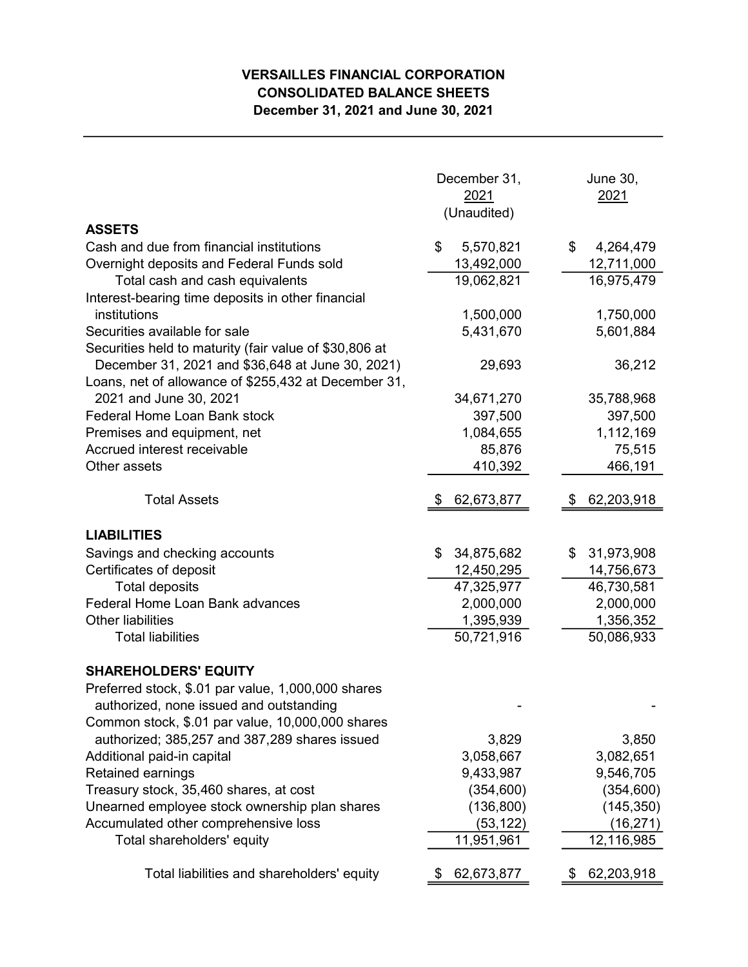## VERSAILLES FINANCIAL CORPORATION CONSOLIDATED BALANCE SHEETS December 31, 2021 and June 30, 2021

|                                                                                                            | December 31,<br>2021<br>(Unaudited) | <b>June 30,</b><br>2021 |  |  |
|------------------------------------------------------------------------------------------------------------|-------------------------------------|-------------------------|--|--|
| <b>ASSETS</b>                                                                                              |                                     |                         |  |  |
| Cash and due from financial institutions                                                                   | \$<br>5,570,821                     | \$<br>4,264,479         |  |  |
| Overnight deposits and Federal Funds sold                                                                  | 13,492,000                          | 12,711,000              |  |  |
| Total cash and cash equivalents                                                                            | 19,062,821                          | 16,975,479              |  |  |
| Interest-bearing time deposits in other financial<br>institutions                                          |                                     |                         |  |  |
| Securities available for sale                                                                              | 1,500,000<br>5,431,670              | 1,750,000<br>5,601,884  |  |  |
|                                                                                                            |                                     |                         |  |  |
| Securities held to maturity (fair value of \$30,806 at<br>December 31, 2021 and \$36,648 at June 30, 2021) | 29,693                              | 36,212                  |  |  |
| Loans, net of allowance of \$255,432 at December 31,                                                       |                                     |                         |  |  |
| 2021 and June 30, 2021                                                                                     | 34,671,270                          | 35,788,968              |  |  |
| <b>Federal Home Loan Bank stock</b>                                                                        | 397,500                             | 397,500                 |  |  |
| Premises and equipment, net                                                                                | 1,084,655                           | 1,112,169               |  |  |
| Accrued interest receivable                                                                                | 85,876                              | 75,515                  |  |  |
| Other assets                                                                                               | 410,392                             | 466,191                 |  |  |
|                                                                                                            |                                     |                         |  |  |
| <b>Total Assets</b>                                                                                        | 62,673,877                          | 62,203,918              |  |  |
| <b>LIABILITIES</b>                                                                                         |                                     |                         |  |  |
| Savings and checking accounts                                                                              | 34,875,682<br>\$                    | 31,973,908<br>\$        |  |  |
| Certificates of deposit                                                                                    | 12,450,295                          | 14,756,673              |  |  |
| <b>Total deposits</b>                                                                                      | 47,325,977                          | 46,730,581              |  |  |
| Federal Home Loan Bank advances                                                                            | 2,000,000                           | 2,000,000               |  |  |
| <b>Other liabilities</b>                                                                                   | 1,395,939                           | 1,356,352               |  |  |
| <b>Total liabilities</b>                                                                                   | 50,721,916                          | 50,086,933              |  |  |
| <b>SHAREHOLDERS' EQUITY</b>                                                                                |                                     |                         |  |  |
| Preferred stock, \$.01 par value, 1,000,000 shares                                                         |                                     |                         |  |  |
| authorized, none issued and outstanding                                                                    |                                     |                         |  |  |
| Common stock, \$.01 par value, 10,000,000 shares                                                           |                                     |                         |  |  |
| authorized; 385,257 and 387,289 shares issued                                                              | 3,829                               | 3,850                   |  |  |
| Additional paid-in capital                                                                                 | 3,058,667                           | 3,082,651               |  |  |
| Retained earnings                                                                                          | 9,433,987                           | 9,546,705               |  |  |
| Treasury stock, 35,460 shares, at cost                                                                     | (354, 600)                          | (354, 600)              |  |  |
| Unearned employee stock ownership plan shares                                                              | (136, 800)                          | (145, 350)              |  |  |
| Accumulated other comprehensive loss                                                                       | (53, 122)                           | (16, 271)               |  |  |
| Total shareholders' equity                                                                                 | 11,951,961                          | 12,116,985              |  |  |
| Total liabilities and shareholders' equity                                                                 | 62,673,877                          | 62,203,918              |  |  |